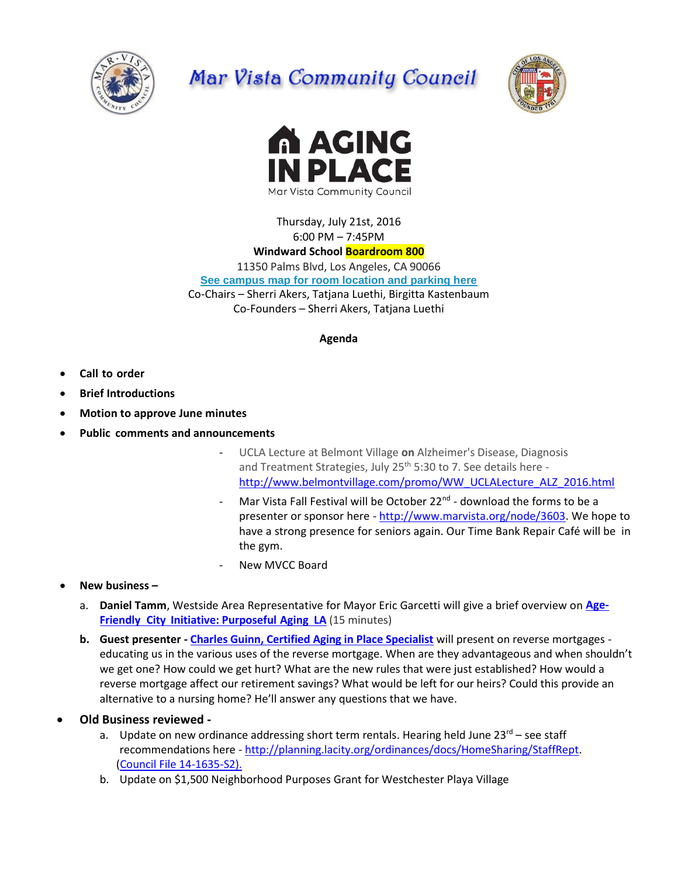

# Mar Vista Community Council





Thursday, July 21st, 2016 6:00 PM – 7:45PM

# **Windward School Boardroom 800**

11350 Palms Blvd, Los Angeles, CA 90066 **[See campus map for room location and parking here](https://windwardschool.myschoolapp.com/ftpimages/176/download/download_1671327.pdf)** Co-Chairs – Sherri Akers, Tatjana Luethi, Birgitta Kastenbaum Co-Founders – Sherri Akers, Tatjana Luethi

### **Agenda**

- **Call to order**
- **Brief Introductions**
- **Motion to approve June minutes**
- **Public comments and announcements**
	- UCLA Lecture at Belmont Village **on** Alzheimer's Disease, Diagnosis and Treatment Strategies, July 25<sup>th</sup> 5:30 to 7. See details here [http://www.belmontvillage.com/promo/WW\\_UCLALecture\\_ALZ\\_2016.html](http://www.belmontvillage.com/promo/WW_UCLALecture_ALZ_2016.html)
	- Mar Vista Fall Festival will be October 22<sup>nd</sup> download the forms to be a presenter or sponsor here - [http://www.marvista.org/node/3603.](http://www.marvista.org/node/3603) We hope to have a strong presence for seniors again. Our Time Bank Repair Café will be in the gym.
	- New MVCC Board
- **New business –**
	- a. **Daniel Tamm**, Westside Area Representative for Mayor Eric Garcetti will give a brief overview on **[Age-](http://www.lamayor.org/los-angeles-commits-%E2%80%98age-friendly%E2%80%99-future-better-serve-growing-older-adult-population)Friendly City [Initiative: Purposeful](http://www.lamayor.org/los-angeles-commits-%E2%80%98age-friendly%E2%80%99-future-better-serve-growing-older-adult-population) Aging LA** (15 minutes)
	- **b. Guest presenter - [Charles Guinn, Certified Aging in Place Specialist](http://www.charlesguinn.com/)** will present on reverse mortgages educating us in the various uses of the reverse mortgage. When are they advantageous and when shouldn't we get one? How could we get hurt? What are the new rules that were just established? How would a reverse mortgage affect our retirement savings? What would be left for our heirs? Could this provide an alternative to a nursing home? He'll answer any questions that we have.
- **Old Business reviewed** 
	- a. Update on new ordinance addressing short term rentals. Hearing held June  $23^{rd}$  see staff recommendations here - [http://planning.lacity.org/ordinances/docs/HomeSharing/StaffRept.](http://planning.lacity.org/ordinances/docs/HomeSharing/StaffRept) [\(Council File 14-1635-S2\)](https://cityclerk.lacity.org/lacityclerkconnect/index.cfm?fa=ccfi.viewrecord&cfnumber=14-1635-S2).
	- b. Update on \$1,500 Neighborhood Purposes Grant for Westchester Playa Village